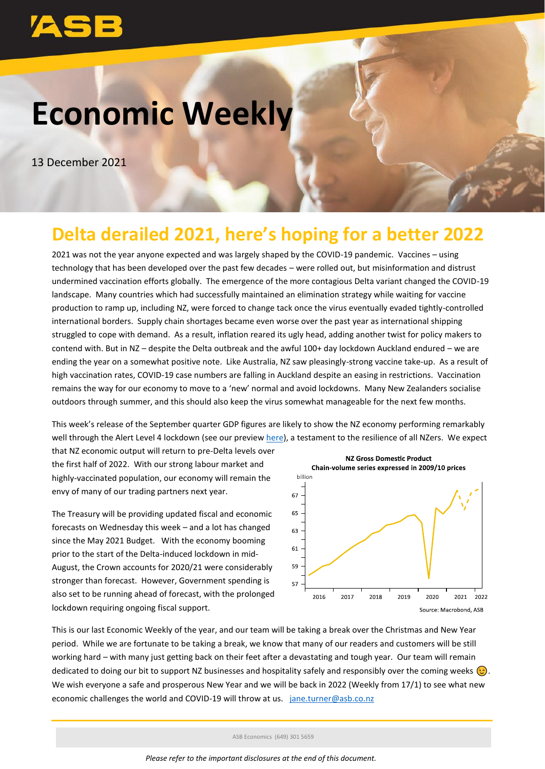# **Economic Weekly**

13 December 2021

## **Delta derailed 2021, here's hoping for a better 2022**

2021 was not the year anyone expected and was largely shaped by the COVID-19 pandemic. Vaccines – using technology that has been developed over the past few decades – were rolled out, but misinformation and distrust undermined vaccination efforts globally. The emergence of the more contagious Delta variant changed the COVID-19 landscape. Many countries which had successfully maintained an elimination strategy while waiting for vaccine production to ramp up, including NZ, were forced to change tack once the virus eventually evaded tightly-controlled international borders. Supply chain shortages became even worse over the past year as international shipping struggled to cope with demand. As a result, inflation reared its ugly head, adding another twist for policy makers to contend with. But in NZ – despite the Delta outbreak and the awful 100+ day lockdown Auckland endured – we are ending the year on a somewhat positive note. Like Australia, NZ saw pleasingly-strong vaccine take-up. As a result of high vaccination rates, COVID-19 case numbers are falling in Auckland despite an easing in restrictions. Vaccination remains the way for our economy to move to a 'new' normal and avoid lockdowns. Many New Zealanders socialise outdoors through summer, and this should also keep the virus somewhat manageable for the next few months.

This week's release of the September quarter GDP figures are likely to show the NZ economy performing remarkably well through the Alert Level 4 lockdown (see our preview [here\)](https://www.asb.co.nz/content/dam/asb/documents/reports/economic-note/gdp-preview-q3-2021.pdf), a testament to the resilience of all NZers. We expect

that NZ economic output will return to pre-Delta levels over the first half of 2022. With our strong labour market and highly-vaccinated population, our economy will remain the envy of many of our trading partners next year.

The Treasury will be providing updated fiscal and economic forecasts on Wednesday this week – and a lot has changed since the May 2021 Budget. With the economy booming prior to the start of the Delta-induced lockdown in mid-August, the Crown accounts for 2020/21 were considerably stronger than forecast. However, Government spending is also set to be running ahead of forecast, with the prolonged lockdown requiring ongoing fiscal support.



This is our last Economic Weekly of the year, and our team will be taking a break over the Christmas and New Year period. While we are fortunate to be taking a break, we know that many of our readers and customers will be still working hard – with many just getting back on their feet after a devastating and tough year. Our team will remain dedicated to doing our bit to support NZ businesses and hospitality safely and responsibly over the coming weeks  $\odot$ . We wish everyone a safe and prosperous New Year and we will be back in 2022 (Weekly from 17/1) to see what new economic challenges the world and COVID-19 will throw at us. jane.turner@asb.co.nz

ASB Economics (649) 301 5659

*Please refer to the important disclosures at the end of this document.*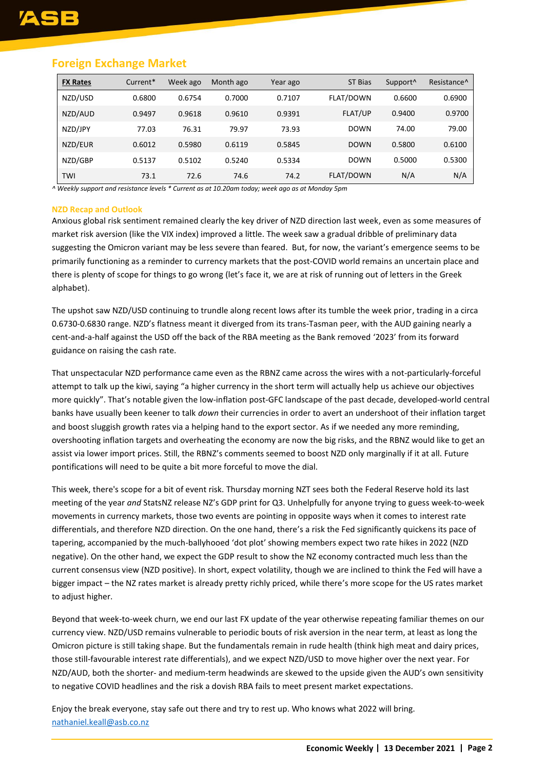#### **Foreign Exchange Market**

| <b>FX Rates</b> | Current* | Week ago | Month ago | Year ago | ST Bias          | Support <sup>^</sup> | Resistance <sup>^</sup> |
|-----------------|----------|----------|-----------|----------|------------------|----------------------|-------------------------|
| NZD/USD         | 0.6800   | 0.6754   | 0.7000    | 0.7107   | <b>FLAT/DOWN</b> | 0.6600               | 0.6900                  |
| NZD/AUD         | 0.9497   | 0.9618   | 0.9610    | 0.9391   | <b>FLAT/UP</b>   | 0.9400               | 0.9700                  |
| NZD/JPY         | 77.03    | 76.31    | 79.97     | 73.93    | <b>DOWN</b>      | 74.00                | 79.00                   |
| NZD/EUR         | 0.6012   | 0.5980   | 0.6119    | 0.5845   | <b>DOWN</b>      | 0.5800               | 0.6100                  |
| NZD/GBP         | 0.5137   | 0.5102   | 0.5240    | 0.5334   | <b>DOWN</b>      | 0.5000               | 0.5300                  |
| TWI             | 73.1     | 72.6     | 74.6      | 74.2     | <b>FLAT/DOWN</b> | N/A                  | N/A                     |

*^ Weekly support and resistance levels \* Current as at 10.20am today; week ago as at Monday 5pm*

#### **NZD Recap and Outlook**

Anxious global risk sentiment remained clearly the key driver of NZD direction last week, even as some measures of market risk aversion (like the VIX index) improved a little. The week saw a gradual dribble of preliminary data suggesting the Omicron variant may be less severe than feared. But, for now, the variant's emergence seems to be primarily functioning as a reminder to currency markets that the post-COVID world remains an uncertain place and there is plenty of scope for things to go wrong (let's face it, we are at risk of running out of letters in the Greek alphabet).

The upshot saw NZD/USD continuing to trundle along recent lows after its tumble the week prior, trading in a circa 0.6730-0.6830 range. NZD's flatness meant it diverged from its trans-Tasman peer, with the AUD gaining nearly a cent-and-a-half against the USD off the back of the RBA meeting as the Bank removed '2023' from its forward guidance on raising the cash rate.

That unspectacular NZD performance came even as the RBNZ came across the wires with a not-particularly-forceful attempt to talk up the kiwi, saying "a higher currency in the short term will actually help us achieve our objectives more quickly". That's notable given the low-inflation post-GFC landscape of the past decade, developed-world central banks have usually been keener to talk *down* their currencies in order to avert an undershoot of their inflation target and boost sluggish growth rates via a helping hand to the export sector. As if we needed any more reminding, overshooting inflation targets and overheating the economy are now the big risks, and the RBNZ would like to get an assist via lower import prices. Still, the RBNZ's comments seemed to boost NZD only marginally if it at all. Future pontifications will need to be quite a bit more forceful to move the dial.

This week, there's scope for a bit of event risk. Thursday morning NZT sees both the Federal Reserve hold its last meeting of the year *and* StatsNZ release NZ's GDP print for Q3. Unhelpfully for anyone trying to guess week-to-week movements in currency markets, those two events are pointing in opposite ways when it comes to interest rate differentials, and therefore NZD direction. On the one hand, there's a risk the Fed significantly quickens its pace of tapering, accompanied by the much-ballyhooed 'dot plot' showing members expect two rate hikes in 2022 (NZD negative). On the other hand, we expect the GDP result to show the NZ economy contracted much less than the current consensus view (NZD positive). In short, expect volatility, though we are inclined to think the Fed will have a bigger impact – the NZ rates market is already pretty richly priced, while there's more scope for the US rates market to adjust higher.

Beyond that week-to-week churn, we end our last FX update of the year otherwise repeating familiar themes on our currency view. NZD/USD remains vulnerable to periodic bouts of risk aversion in the near term, at least as long the Omicron picture is still taking shape. But the fundamentals remain in rude health (think high meat and dairy prices, those still-favourable interest rate differentials), and we expect NZD/USD to move higher over the next year. For NZD/AUD, both the shorter- and medium-term headwinds are skewed to the upside given the AUD's own sensitivity to negative COVID headlines and the risk a dovish RBA fails to meet present market expectations.

Enjoy the break everyone, stay safe out there and try to rest up. Who knows what 2022 will bring. [nathaniel.keall@asb.co.nz](mailto:nathaniel.keall@asb.co.nz)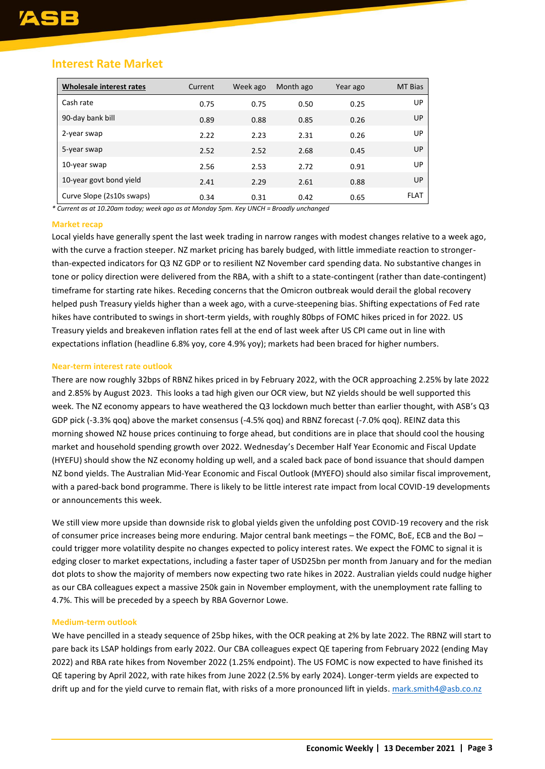#### **Interest Rate Market**

| <b>Wholesale interest rates</b> | Current | Week ago | Month ago | Year ago | <b>MT Bias</b> |
|---------------------------------|---------|----------|-----------|----------|----------------|
| Cash rate                       | 0.75    | 0.75     | 0.50      | 0.25     | UP             |
| 90-day bank bill                | 0.89    | 0.88     | 0.85      | 0.26     | UP             |
| 2-year swap                     | 2.22    | 2.23     | 2.31      | 0.26     | UP             |
| 5-year swap                     | 2.52    | 2.52     | 2.68      | 0.45     | UP             |
| 10-year swap                    | 2.56    | 2.53     | 2.72      | 0.91     | UP             |
| 10-year govt bond yield         | 2.41    | 2.29     | 2.61      | 0.88     | UP             |
| Curve Slope (2s10s swaps)       | 0.34    | 0.31     | 0.42      | 0.65     | <b>FLAT</b>    |

*\* Current as at 10.20am today; week ago as at Monday 5pm. Key UNCH = Broadly unchanged*

#### **Market recap**

Local yields have generally spent the last week trading in narrow ranges with modest changes relative to a week ago, with the curve a fraction steeper. NZ market pricing has barely budged, with little immediate reaction to strongerthan-expected indicators for Q3 NZ GDP or to resilient NZ November card spending data. No substantive changes in tone or policy direction were delivered from the RBA, with a shift to a state-contingent (rather than date-contingent) timeframe for starting rate hikes. Receding concerns that the Omicron outbreak would derail the global recovery helped push Treasury yields higher than a week ago, with a curve-steepening bias. Shifting expectations of Fed rate hikes have contributed to swings in short-term yields, with roughly 80bps of FOMC hikes priced in for 2022. US Treasury yields and breakeven inflation rates fell at the end of last week after US CPI came out in line with expectations inflation (headline 6.8% yoy, core 4.9% yoy); markets had been braced for higher numbers.

#### **Near-term interest rate outlook**

There are now roughly 32bps of RBNZ hikes priced in by February 2022, with the OCR approaching 2.25% by late 2022 and 2.85% by August 2023. This looks a tad high given our OCR view, but NZ yields should be well supported this week. The NZ economy appears to have weathered the Q3 lockdown much better than earlier thought, with ASB's Q3 GDP pick (-3.3% qoq) above the market consensus (-4.5% qoq) and RBNZ forecast (-7.0% qoq). REINZ data this morning showed NZ house prices continuing to forge ahead, but conditions are in place that should cool the housing market and household spending growth over 2022. Wednesday's December Half Year Economic and Fiscal Update (HYEFU) should show the NZ economy holding up well, and a scaled back pace of bond issuance that should dampen NZ bond yields. The Australian Mid-Year Economic and Fiscal Outlook (MYEFO) should also similar fiscal improvement, with a pared-back bond programme. There is likely to be little interest rate impact from local COVID-19 developments or announcements this week.

We still view more upside than downside risk to global yields given the unfolding post COVID-19 recovery and the risk of consumer price increases being more enduring. Major central bank meetings – the FOMC, BoE, ECB and the BoJ – could trigger more volatility despite no changes expected to policy interest rates. We expect the FOMC to signal it is edging closer to market expectations, including a faster taper of USD25bn per month from January and for the median dot plots to show the majority of members now expecting two rate hikes in 2022. Australian yields could nudge higher as our CBA colleagues expect a massive 250k gain in November employment, with the unemployment rate falling to 4.7%. This will be preceded by a speech by RBA Governor Lowe.

#### **Medium-term outlook**

We have pencilled in a steady sequence of 25bp hikes, with the OCR peaking at 2% by late 2022. The RBNZ will start to pare back its LSAP holdings from early 2022. Our CBA colleagues expect QE tapering from February 2022 (ending May 2022) and RBA rate hikes from November 2022 (1.25% endpoint). The US FOMC is now expected to have finished its QE tapering by April 2022, with rate hikes from June 2022 (2.5% by early 2024). Longer-term yields are expected to drift up and for the yield curve to remain flat, with risks of a more pronounced lift in yields[. mark.smith4@asb.co.nz](mailto:mark.smith4@asb.co.nz)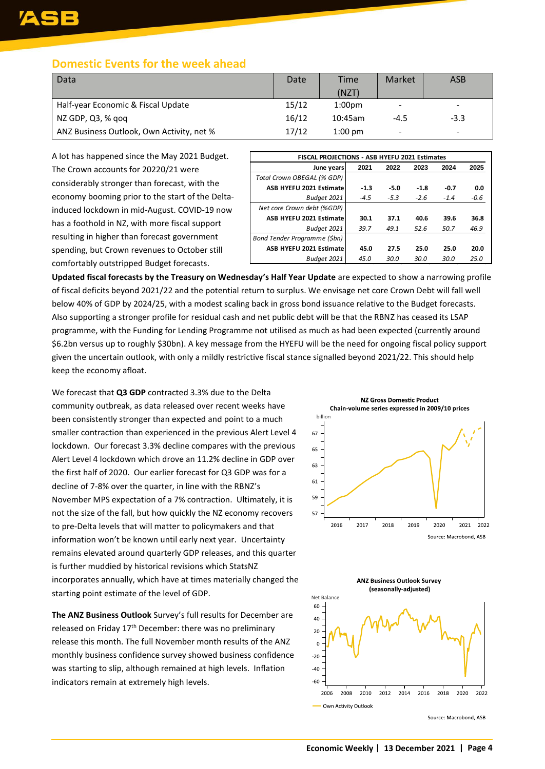#### **Domestic Events for the week ahead**

| Data                                      | Date  | Time               | Market | <b>ASB</b> |
|-------------------------------------------|-------|--------------------|--------|------------|
|                                           |       | (NZT)              |        |            |
| Half-year Economic & Fiscal Update        | 15/12 | 1:00 <sub>pm</sub> | -      |            |
| NZ GDP, Q3, % gog                         | 16/12 | 10:45am            | $-4.5$ | $-3.3$     |
| ANZ Business Outlook, Own Activity, net % | 17/12 | $1:00$ pm          | -      | -          |

A lot has happened since the May 2021 Budget. The Crown accounts for 20220/21 were considerably stronger than forecast, with the economy booming prior to the start of the Deltainduced lockdown in mid-August. COVID-19 now has a foothold in NZ, with more fiscal support resulting in higher than forecast government spending, but Crown revenues to October still comfortably outstripped Budget forecasts.

| <b>FISCAL PROJECTIONS - ASB HYEFU 2021 Estimates</b> |        |        |        |        |        |  |  |  |  |
|------------------------------------------------------|--------|--------|--------|--------|--------|--|--|--|--|
| June years                                           | 2021   | 2022   | 2023   | 2024   | 2025   |  |  |  |  |
| Total Crown OBEGAL (% GDP)                           |        |        |        |        |        |  |  |  |  |
| ASB HYEFU 2021 Estimate                              | $-1.3$ | $-5.0$ | $-1.8$ | $-0.7$ | 0.0    |  |  |  |  |
| Budget 2021                                          | $-4.5$ | $-5.3$ | $-2.6$ | $-1.4$ | $-0.6$ |  |  |  |  |
| Net core Crown debt (%GDP)                           |        |        |        |        |        |  |  |  |  |
| ASB HYEFU 2021 Estimate                              | 30.1   | 37.1   | 40.6   | 39.6   | 36.8   |  |  |  |  |
| Budget 2021                                          | 39.7   | 49.1   | 52.6   | 50.7   | 46.9   |  |  |  |  |
| Bond Tender Programme (\$bn)                         |        |        |        |        |        |  |  |  |  |
| ASB HYEFU 2021 Estimate                              | 45.0   | 27.5   | 25.0   | 25.0   | 20.0   |  |  |  |  |
| Budaet 2021                                          | 45.0   | 30.0   | 30.0   | 30.0   | 25.0   |  |  |  |  |

**Updated fiscal forecasts by the Treasury on Wednesday's Half Year Update** are expected to show a narrowing profile of fiscal deficits beyond 2021/22 and the potential return to surplus. We envisage net core Crown Debt will fall well below 40% of GDP by 2024/25, with a modest scaling back in gross bond issuance relative to the Budget forecasts. Also supporting a stronger profile for residual cash and net public debt will be that the RBNZ has ceased its LSAP programme, with the Funding for Lending Programme not utilised as much as had been expected (currently around \$6.2bn versus up to roughly \$30bn). A key message from the HYEFU will be the need for ongoing fiscal policy support given the uncertain outlook, with only a mildly restrictive fiscal stance signalled beyond 2021/22. This should help keep the economy afloat.

We forecast that **Q3 GDP** contracted 3.3% due to the Delta community outbreak, as data released over recent weeks have been consistently stronger than expected and point to a much smaller contraction than experienced in the previous Alert Level 4 lockdown. Our forecast 3.3% decline compares with the previous Alert Level 4 lockdown which drove an 11.2% decline in GDP over the first half of 2020. Our earlier forecast for Q3 GDP was for a decline of 7-8% over the quarter, in line with the RBNZ's November MPS expectation of a 7% contraction. Ultimately, it is not the size of the fall, but how quickly the NZ economy recovers to pre-Delta levels that will matter to policymakers and that information won't be known until early next year. Uncertainty remains elevated around quarterly GDP releases, and this quarter is further muddied by historical revisions which StatsNZ incorporates annually, which have at times materially changed the starting point estimate of the level of GDP.

**The ANZ Business Outlook** Survey's full results for December are released on Friday 17th December: there was no preliminary release this month. The full November month results of the ANZ monthly business confidence survey showed business confidence was starting to slip, although remained at high levels. Inflation indicators remain at extremely high levels.



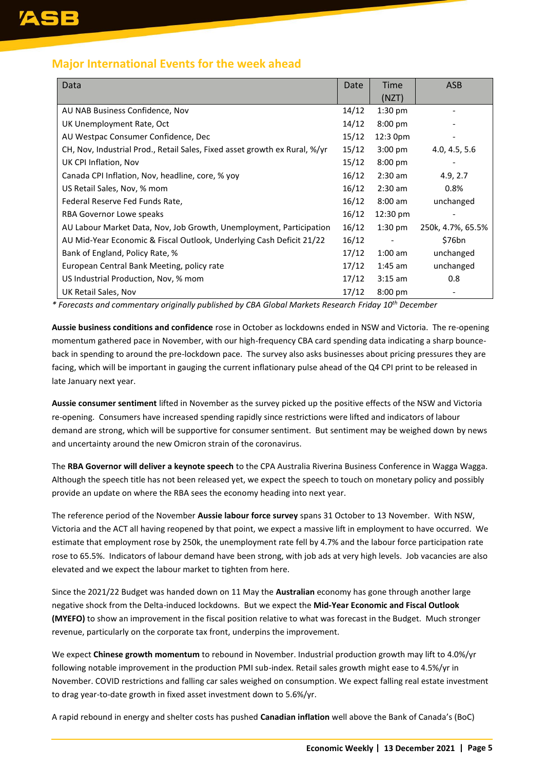#### **Major International Events for the week ahead**

| Data                                                                       | Date  | Time              | <b>ASB</b>        |
|----------------------------------------------------------------------------|-------|-------------------|-------------------|
|                                                                            |       | (NZT)             |                   |
| AU NAB Business Confidence, Nov                                            | 14/12 | $1:30$ pm         |                   |
| UK Unemployment Rate, Oct                                                  | 14/12 | $8:00 \text{ pm}$ |                   |
| AU Westpac Consumer Confidence, Dec                                        | 15/12 | 12:3 0pm          |                   |
| CH, Nov, Industrial Prod., Retail Sales, Fixed asset growth ex Rural, %/yr | 15/12 | $3:00 \text{ pm}$ | 4.0, 4.5, 5.6     |
| UK CPI Inflation, Nov                                                      | 15/12 | $8:00 \text{ pm}$ |                   |
| Canada CPI Inflation, Nov, headline, core, % yoy                           | 16/12 | $2:30$ am         | 4.9, 2.7          |
| US Retail Sales, Nov, % mom                                                | 16/12 | $2:30$ am         | 0.8%              |
| Federal Reserve Fed Funds Rate,                                            | 16/12 | $8:00$ am         | unchanged         |
| RBA Governor Lowe speaks                                                   | 16/12 | 12:30 pm          |                   |
| AU Labour Market Data, Nov, Job Growth, Unemployment, Participation        | 16/12 | $1:30 \text{ pm}$ | 250k, 4.7%, 65.5% |
| AU Mid-Year Economic & Fiscal Outlook, Underlying Cash Deficit 21/22       | 16/12 |                   | \$76bn            |
| Bank of England, Policy Rate, %                                            | 17/12 | $1:00$ am         | unchanged         |
| European Central Bank Meeting, policy rate                                 | 17/12 | $1:45$ am         | unchanged         |
| US Industrial Production, Nov, % mom                                       | 17/12 | $3:15$ am         | 0.8               |
| UK Retail Sales, Nov                                                       | 17/12 | $8:00 \text{ pm}$ |                   |

*\* Forecasts and commentary originally published by CBA Global Markets Research Friday 10th December*

**Aussie business conditions and confidence** rose in October as lockdowns ended in NSW and Victoria. The re-opening momentum gathered pace in November, with our high-frequency CBA card spending data indicating a sharp bounceback in spending to around the pre-lockdown pace. The survey also asks businesses about pricing pressures they are facing, which will be important in gauging the current inflationary pulse ahead of the Q4 CPI print to be released in late January next year.

**Aussie consumer sentiment** lifted in November as the survey picked up the positive effects of the NSW and Victoria re-opening. Consumers have increased spending rapidly since restrictions were lifted and indicators of labour demand are strong, which will be supportive for consumer sentiment. But sentiment may be weighed down by news and uncertainty around the new Omicron strain of the coronavirus.

The **RBA Governor will deliver a keynote speech** to the CPA Australia Riverina Business Conference in Wagga Wagga. Although the speech title has not been released yet, we expect the speech to touch on monetary policy and possibly provide an update on where the RBA sees the economy heading into next year.

The reference period of the November **Aussie labour force survey** spans 31 October to 13 November. With NSW, Victoria and the ACT all having reopened by that point, we expect a massive lift in employment to have occurred. We estimate that employment rose by 250k, the unemployment rate fell by 4.7% and the labour force participation rate rose to 65.5%. Indicators of labour demand have been strong, with job ads at very high levels. Job vacancies are also elevated and we expect the labour market to tighten from here.

Since the 2021/22 Budget was handed down on 11 May the **Australian** economy has gone through another large negative shock from the Delta-induced lockdowns. But we expect the **Mid-Year Economic and Fiscal Outlook (MYEFO)** to show an improvement in the fiscal position relative to what was forecast in the Budget. Much stronger revenue, particularly on the corporate tax front, underpins the improvement.

We expect **Chinese growth momentum** to rebound in November. Industrial production growth may lift to 4.0%/yr following notable improvement in the production PMI sub-index. Retail sales growth might ease to 4.5%/yr in November. COVID restrictions and falling car sales weighed on consumption. We expect falling real estate investment to drag year-to-date growth in fixed asset investment down to 5.6%/yr.

A rapid rebound in energy and shelter costs has pushed **Canadian inflation** well above the Bank of Canada's (BoC)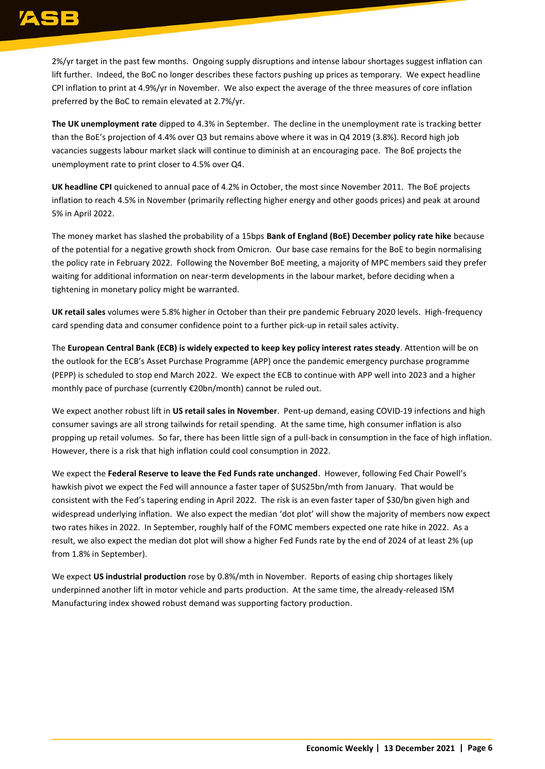## ASE

2%/yr target in the past few months. Ongoing supply disruptions and intense labour shortages suggest inflation can lift further. Indeed, the BoC no longer describes these factors pushing up prices as temporary. We expect headline CPI inflation to print at 4.9%/yr in November. We also expect the average of the three measures of core inflation preferred by the BoC to remain elevated at 2.7%/yr.

**The UK unemployment rate** dipped to 4.3% in September. The decline in the unemployment rate is tracking better than the BoE's projection of 4.4% over Q3 but remains above where it was in Q4 2019 (3.8%). Record high job vacancies suggests labour market slack will continue to diminish at an encouraging pace. The BoE projects the unemployment rate to print closer to 4.5% over Q4.

**UK headline CPI** quickened to annual pace of 4.2% in October, the most since November 2011. The BoE projects inflation to reach 4.5% in November (primarily reflecting higher energy and other goods prices) and peak at around 5% in April 2022.

The money market has slashed the probability of a 15bps **Bank of England (BoE) December policy rate hike** because of the potential for a negative growth shock from Omicron. Our base case remains for the BoE to begin normalising the policy rate in February 2022. Following the November BoE meeting, a majority of MPC members said they prefer waiting for additional information on near-term developments in the labour market, before deciding when a tightening in monetary policy might be warranted.

**UK retail sales** volumes were 5.8% higher in October than their pre pandemic February 2020 levels. High-frequency card spending data and consumer confidence point to a further pick-up in retail sales activity.

The **European Central Bank (ECB) is widely expected to keep key policy interest rates steady**. Attention will be on the outlook for the ECB's Asset Purchase Programme (APP) once the pandemic emergency purchase programme (PEPP) is scheduled to stop end March 2022. We expect the ECB to continue with APP well into 2023 and a higher monthly pace of purchase (currently €20bn/month) cannot be ruled out.

We expect another robust lift in **US retail sales in November**. Pent-up demand, easing COVID-19 infections and high consumer savings are all strong tailwinds for retail spending. At the same time, high consumer inflation is also propping up retail volumes. So far, there has been little sign of a pull-back in consumption in the face of high inflation. However, there is a risk that high inflation could cool consumption in 2022.

We expect the **Federal Reserve to leave the Fed Funds rate unchanged**. However, following Fed Chair Powell's hawkish pivot we expect the Fed will announce a faster taper of \$US25bn/mth from January. That would be consistent with the Fed's tapering ending in April 2022. The risk is an even faster taper of \$30/bn given high and widespread underlying inflation. We also expect the median 'dot plot' will show the majority of members now expect two rates hikes in 2022. In September, roughly half of the FOMC members expected one rate hike in 2022. As a result, we also expect the median dot plot will show a higher Fed Funds rate by the end of 2024 of at least 2% (up from 1.8% in September).

We expect **US industrial production** rose by 0.8%/mth in November. Reports of easing chip shortages likely underpinned another lift in motor vehicle and parts production. At the same time, the already-released ISM Manufacturing index showed robust demand was supporting factory production.